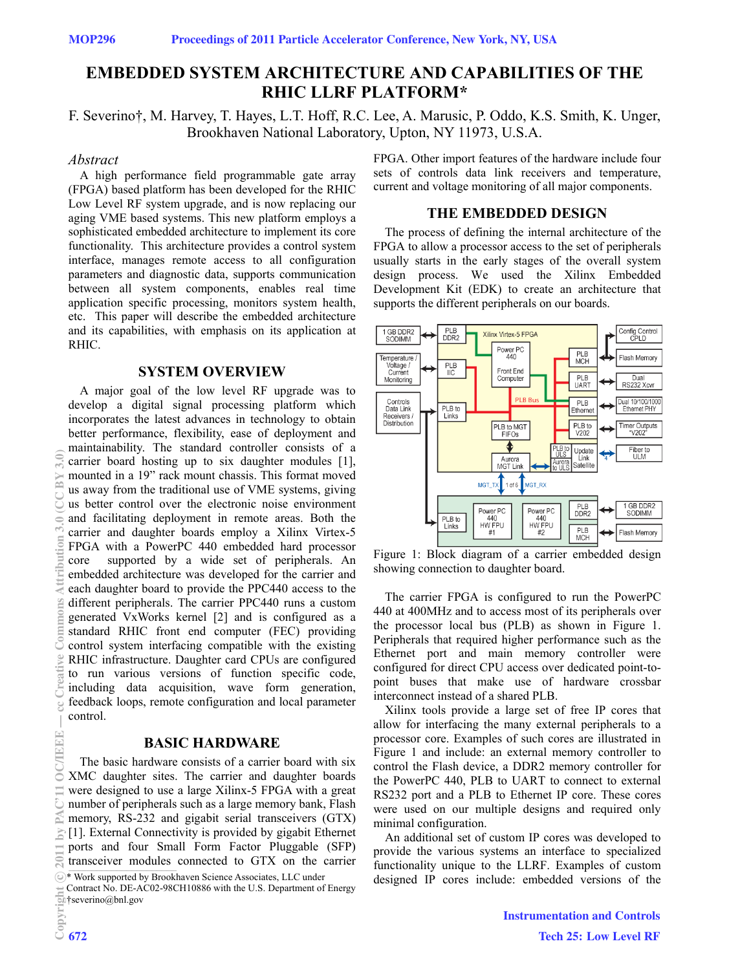# **EMBEDDED SYSTEM ARCHITECTURE AND CAPABILITIES OF THE RHIC LLRF PLATFORM\***

F. Severino†, M. Harvey, T. Hayes, L.T. Hoff, R.C. Lee, A. Marusic, P. Oddo, K.S. Smith, K. Unger, Brookhaven National Laboratory, Upton, NY 11973, U.S.A.

#### *Abstract*

A high performance field programmable gate array (FPGA) based platform has been developed for the RHIC Low Level RF system upgrade, and is now replacing our aging VME based systems. This new platform employs a sophisticated embedded architecture to implement its core functionality. This architecture provides a control system interface, manages remote access to all configuration parameters and diagnostic data, supports communication between all system components, enables real time application specific processing, monitors system health, etc. This paper will describe the embedded architecture and its capabilities, with emphasis on its application at RHIC.

#### **SYSTEM OVERVIEW**

A major goal of the low level RF upgrade was to develop a digital signal processing platform which incorporates the latest advances in technology to obtain better performance, flexibility, ease of deployment and maintainability. The standard controller consists of a carrier board hosting up to six daughter modules [1], mounted in a 19" rack mount chassis. This format moved us away from the traditional use of VME systems, giving us better control over the electronic noise environment and facilitating deployment in remote areas. Both the carrier and daughter boards employ a Xilinx Virtex-5 FPGA with a PowerPC 440 embedded hard processor core supported by a wide set of peripherals. An embedded architecture was developed for the carrier and each daughter board to provide the PPC440 access to the different peripherals. The carrier PPC440 runs a custom generated VxWorks kernel [2] and is configured as a standard RHIC front end computer (FEC) providing control system interfacing compatible with the existing RHIC infrastructure. Daughter card CPUs are configured to run various versions of function specific code, including data acquisition, wave form generation, feedback loops, remote configuration and local parameter control.

#### **BASIC HARDWARE**

The basic hardware consists of a carrier board with six XMC daughter sites. The carrier and daughter boards were designed to use a large Xilinx-5 FPGA with a great number of peripherals such as a large memory bank, Flash memory, RS-232 and gigabit serial transceivers (GTX) [1]. External Connectivity is provided by gigabit Ethernet ports and four Small Form Factor Pluggable (SFP) transceiver modules connected to GTX on the carrier

\* Work supported by Brookhaven Science Associates, LLC under

Contract No. DE-AC02-98CH10886 with the U.S. Department of Energy †severino@bnl.gov

FPGA. Other import features of the hardware include four sets of controls data link receivers and temperature, current and voltage monitoring of all major components.

#### **THE EMBEDDED DESIGN**

The process of defining the internal architecture of the FPGA to allow a processor access to the set of peripherals usually starts in the early stages of the overall system design process. We used the Xilinx Embedded Development Kit (EDK) to create an architecture that supports the different peripherals on our boards.



Figure 1: Block diagram of a carrier embedded design showing connection to daughter board.

The carrier FPGA is configured to run the PowerPC 440 at 400MHz and to access most of its peripherals over the processor local bus (PLB) as shown in Figure 1. Peripherals that required higher performance such as the Ethernet port and main memory controller were configured for direct CPU access over dedicated point-topoint buses that make use of hardware crossbar interconnect instead of a shared PLB.

Xilinx tools provide a large set of free IP cores that allow for interfacing the many external peripherals to a processor core. Examples of such cores are illustrated in Figure 1 and include: an external memory controller to control the Flash device, a DDR2 memory controller for the PowerPC 440, PLB to UART to connect to external RS232 port and a PLB to Ethernet IP core. These cores were used on our multiple designs and required only minimal configuration.

An additional set of custom IP cores was developed to provide the various systems an interface to specialized functionality unique to the LLRF. Examples of custom designed IP cores include: embedded versions of the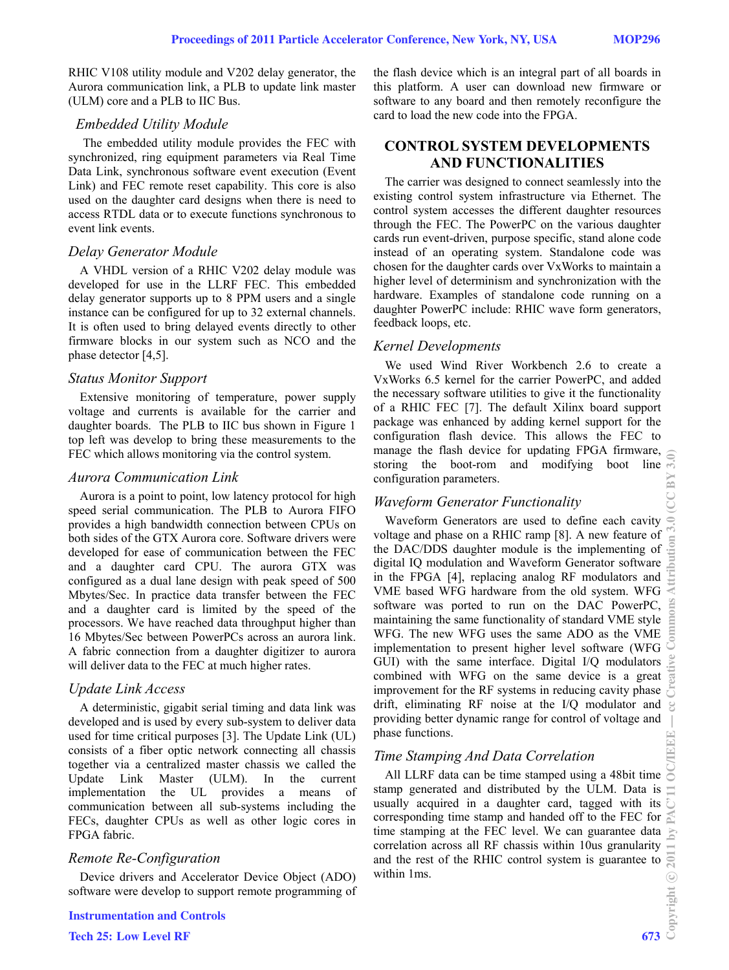RHIC V108 utility module and V202 delay generator, the Aurora communication link, a PLB to update link master (ULM) core and a PLB to IIC Bus.

#### *Embedded Utility Module*

 The embedded utility module provides the FEC with synchronized, ring equipment parameters via Real Time Data Link, synchronous software event execution (Event Link) and FEC remote reset capability. This core is also used on the daughter card designs when there is need to access RTDL data or to execute functions synchronous to event link events.

# *Delay Generator Module*

A VHDL version of a RHIC V202 delay module was developed for use in the LLRF FEC. This embedded delay generator supports up to 8 PPM users and a single instance can be configured for up to 32 external channels. It is often used to bring delayed events directly to other firmware blocks in our system such as NCO and the phase detector [4,5].

# *Status Monitor Support*

Extensive monitoring of temperature, power supply voltage and currents is available for the carrier and daughter boards. The PLB to IIC bus shown in Figure 1 top left was develop to bring these measurements to the FEC which allows monitoring via the control system.

### *Aurora Communication Link*

Aurora is a point to point, low latency protocol for high speed serial communication. The PLB to Aurora FIFO provides a high bandwidth connection between CPUs on both sides of the GTX Aurora core. Software drivers were developed for ease of communication between the FEC and a daughter card CPU. The aurora GTX was configured as a dual lane design with peak speed of 500 Mbytes/Sec. In practice data transfer between the FEC and a daughter card is limited by the speed of the processors. We have reached data throughput higher than 16 Mbytes/Sec between PowerPCs across an aurora link. A fabric connection from a daughter digitizer to aurora will deliver data to the FEC at much higher rates.

# *Update Link Access*

A deterministic, gigabit serial timing and data link was developed and is used by every sub-system to deliver data used for time critical purposes [3]. The Update Link (UL) consists of a fiber optic network connecting all chassis together via a centralized master chassis we called the Update Link Master (ULM). In the current implementation the UL provides a means of communication between all sub-systems including the FECs, daughter CPUs as well as other logic cores in FPGA fabric.

### *Remote Re-Configuration*

Device drivers and Accelerator Device Object (ADO) software were develop to support remote programming of Software were develop to support remote programming of<br> **Instrumentation and Controls**<br>
Tech 25: Low Level RF 673

the flash device which is an integral part of all boards in this platform. A user can download new firmware or software to any board and then remotely reconfigure the card to load the new code into the FPGA.

# **CONTROL SYSTEM DEVELOPMENTS AND FUNCTIONALITIES**

The carrier was designed to connect seamlessly into the existing control system infrastructure via Ethernet. The control system accesses the different daughter resources through the FEC. The PowerPC on the various daughter cards run event-driven, purpose specific, stand alone code instead of an operating system. Standalone code was chosen for the daughter cards over VxWorks to maintain a higher level of determinism and synchronization with the hardware. Examples of standalone code running on a daughter PowerPC include: RHIC wave form generators, feedback loops, etc.

### *Kernel Developments*

We used Wind River Workbench 2.6 to create a VxWorks 6.5 kernel for the carrier PowerPC, and added the necessary software utilities to give it the functionality of a RHIC FEC [7]. The default Xilinx board support package was enhanced by adding kernel support for the configuration flash device. This allows the FEC to manage the flash device for updating FPGA firmware, storing the boot-rom and modifying boot line configuration parameters.

### *Waveform Generator Functionality*

Waveform Generators are used to define each cavity voltage and phase on a RHIC ramp [8]. A new feature of the DAC/DDS daughter module is the implementing of digital IQ modulation and Waveform Generator software in the FPGA [4], replacing analog RF modulators and VME based WFG hardware from the old system. WFG software was ported to run on the DAC PowerPC, maintaining the same functionality of standard VME style WFG. The new WFG uses the same ADO as the VME implementation to present higher level software (WFG GUI) with the same interface. Digital I/Q modulators combined with WFG on the same device is a great improvement for the RF systems in reducing cavity phase  $\overline{\mathbb{S}}$ drift, eliminating RF noise at the I/Q modulator and providing better dynamic range for control of voltage and phase functions.

# *Time Stamping And Data Correlation*

All LLRF data can be time stamped using a 48bit time stamp generated and distributed by the ULM. Data is usually acquired in a daughter card, tagged with its corresponding time stamp and handed off to the FEC for time stamping at the FEC level. We can guarantee data correlation across all RF chassis within 10us granularity and the rest of the RHIC control system is guarantee to within 1ms.